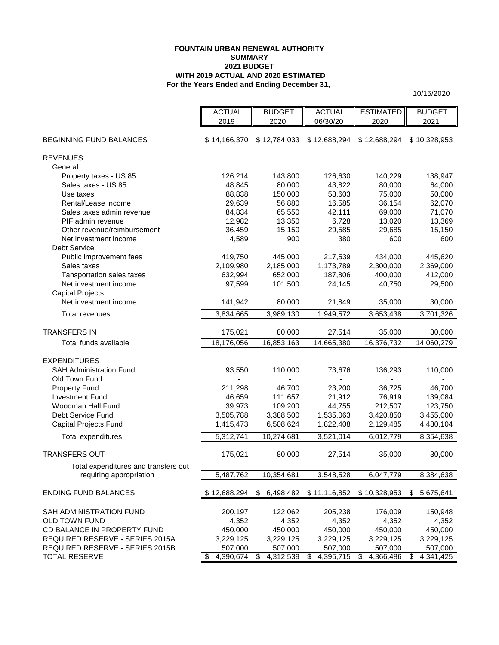### **For the Years Ended and Ending December 31, FOUNTAIN URBAN RENEWAL AUTHORITY SUMMARY 2021 BUDGET WITH 2019 ACTUAL AND 2020 ESTIMATED**

10/15/2020

|                                                  | <b>ACTUAL</b>          | <b>BUDGET</b>   | <b>ACTUAL</b>   | <b>ESTIMATED</b> | <b>BUDGET</b>   |
|--------------------------------------------------|------------------------|-----------------|-----------------|------------------|-----------------|
|                                                  | 2019                   | 2020            | 06/30/20        | 2020             | 2021            |
|                                                  |                        |                 |                 |                  |                 |
| BEGINNING FUND BALANCES                          | \$14,166,370           | \$12,784,033    | \$12,688,294    | \$12,688,294     | \$10,328,953    |
| <b>REVENUES</b>                                  |                        |                 |                 |                  |                 |
| General                                          |                        |                 |                 |                  |                 |
| Property taxes - US 85                           | 126,214                | 143,800         | 126,630         | 140,229          | 138,947         |
| Sales taxes - US 85                              | 48,845                 | 80,000          | 43,822          | 80,000           | 64,000          |
| Use taxes                                        | 88,838                 | 150,000         | 58,603          | 75,000           | 50,000          |
| Rental/Lease income                              | 29,639                 | 56,880          | 16,585          | 36,154           | 62,070          |
| Sales taxes admin revenue                        | 84,834                 | 65,550          | 42,111          | 69,000           | 71,070          |
| PIF admin revenue                                | 12,982                 | 13,350          | 6,728           | 13,020           | 13,369          |
| Other revenue/reimbursement                      | 36,459                 | 15,150          | 29,585          | 29,685           | 15,150          |
| Net investment income                            | 4,589                  | 900             | 380             | 600              | 600             |
| <b>Debt Service</b>                              |                        |                 |                 |                  |                 |
| Public improvement fees                          | 419,750                | 445,000         | 217,539         | 434,000          | 445,620         |
| Sales taxes                                      | 2,109,980              | 2,185,000       | 1,173,789       | 2,300,000        | 2,369,000       |
| Tansportation sales taxes                        | 632,994                | 652,000         | 187,806         | 400,000          | 412,000         |
| Net investment income                            | 97,599                 | 101,500         | 24,145          | 40,750           | 29,500          |
| <b>Capital Projects</b><br>Net investment income | 141,942                | 80,000          | 21,849          | 35,000           | 30,000          |
|                                                  |                        |                 |                 |                  |                 |
| <b>Total revenues</b>                            | 3,834,665              | 3,989,130       | 1,949,572       | 3,653,438        | 3,701,326       |
| <b>TRANSFERS IN</b>                              | 175,021                | 80,000          | 27,514          | 35,000           | 30,000          |
| Total funds available                            | 18,176,056             | 16,853,163      | 14,665,380      | 16,376,732       | 14,060,279      |
|                                                  |                        |                 |                 |                  |                 |
| <b>EXPENDITURES</b>                              |                        |                 |                 |                  |                 |
| <b>SAH Administration Fund</b>                   | 93,550                 | 110,000         | 73,676          | 136,293          | 110,000         |
| Old Town Fund                                    |                        |                 |                 |                  |                 |
| <b>Property Fund</b>                             | 211,298                | 46,700          | 23,200          | 36,725           | 46,700          |
| <b>Investment Fund</b>                           | 46,659                 | 111,657         | 21,912          | 76,919           | 139,084         |
| Woodman Hall Fund                                | 39,973                 | 109,200         | 44,755          | 212,507          | 123,750         |
| Debt Service Fund                                | 3,505,788              | 3,388,500       | 1,535,063       | 3,420,850        | 3,455,000       |
| Capital Projects Fund                            | 1,415,473              | 6,508,624       | 1,822,408       | 2,129,485        | 4,480,104       |
| Total expenditures                               | $\overline{5,312,741}$ | 10,274,681      | 3,521,014       | 6,012,779        | 8,354,638       |
|                                                  |                        |                 |                 |                  |                 |
| <b>TRANSFERS OUT</b>                             | 175,021                | 80,000          | 27,514          | 35,000           | 30,000          |
| Total expenditures and transfers out             |                        |                 |                 |                  |                 |
| requiring appropriation                          | 5,487,762              | 10,354,681      | 3,548,528       | 6,047,779        | 8,384,638       |
|                                                  |                        |                 |                 |                  |                 |
| <b>ENDING FUND BALANCES</b>                      | \$12,688,294           | 6,498,482<br>\$ | \$11,116,852    | \$10,328,953     | 5,675,641<br>S. |
| <b>SAH ADMINISTRATION FUND</b>                   | 200,197                | 122,062         | 205,238         | 176,009          | 150,948         |
| <b>OLD TOWN FUND</b>                             | 4,352                  | 4,352           | 4,352           | 4,352            | 4,352           |
| CD BALANCE IN PROPERTY FUND                      | 450,000                | 450,000         | 450,000         | 450,000          | 450,000         |
| REQUIRED RESERVE - SERIES 2015A                  | 3,229,125              | 3,229,125       | 3,229,125       | 3,229,125        | 3,229,125       |
| REQUIRED RESERVE - SERIES 2015B                  | 507,000                | 507,000         | 507,000         | 507,000          | 507,000         |
| <b>TOTAL RESERVE</b>                             | 4,390,674<br>S.        | 4,312,539<br>\$ | 4,395,715<br>S. | 4,366,486<br>\$  | 4,341,425<br>\$ |

No assurance provided. See summary of significant assumptions. 1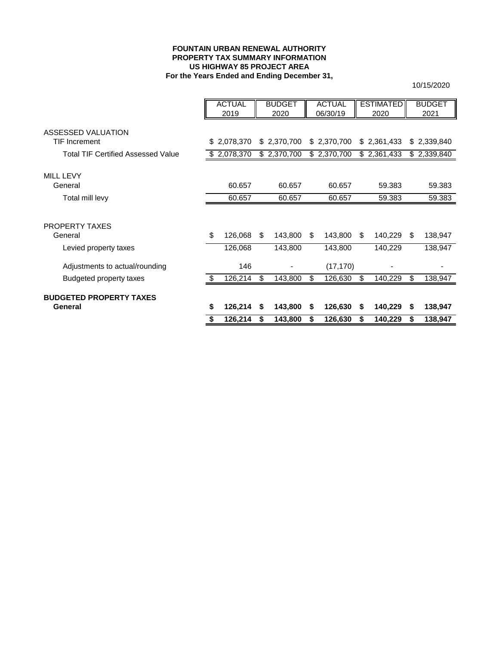### **FOUNTAIN URBAN RENEWAL AUTHORITY PROPERTY TAX SUMMARY INFORMATION For the Years Ended and Ending December 31, US HIGHWAY 85 PROJECT AREA**

|                                           |    | <b>ACTUAL</b> |     | <b>BUDGET</b> |     | <b>ACTUAL</b> |     | <b>ESTIMATED</b> |    | <b>BUDGET</b> |
|-------------------------------------------|----|---------------|-----|---------------|-----|---------------|-----|------------------|----|---------------|
|                                           |    | 2019          |     | 2020          |     | 06/30/19      |     | 2020             |    | 2021          |
|                                           |    |               |     |               |     |               |     |                  |    |               |
| ASSESSED VALUATION                        |    |               |     |               |     |               |     |                  |    |               |
| <b>TIF Increment</b>                      |    | \$2,078,370   |     | \$2,370,700   |     | \$2,370,700   |     | \$2,361,433      |    | \$2,339,840   |
| <b>Total TIF Certified Assessed Value</b> |    | \$ 2,078,370  |     | \$2,370,700   |     | \$2,370,700   |     | \$2,361,433      |    | \$2,339,840   |
|                                           |    |               |     |               |     |               |     |                  |    |               |
| <b>MILL LEVY</b>                          |    |               |     |               |     |               |     |                  |    |               |
| General                                   |    | 60.657        |     | 60.657        |     | 60.657        |     | 59.383           |    | 59.383        |
| Total mill levy                           |    | 60.657        |     | 60.657        |     | 60.657        |     | 59.383           |    | 59.383        |
|                                           |    |               |     |               |     |               |     |                  |    |               |
| PROPERTY TAXES                            |    |               |     |               |     |               |     |                  |    |               |
| General                                   | \$ | 126,068       | \$. | 143,800       | \$. | 143,800       | \$. | 140,229          | -S | 138,947       |
| Levied property taxes                     |    | 126,068       |     | 143,800       |     | 143,800       |     | 140,229          |    | 138,947       |
| Adjustments to actual/rounding            |    | 146           |     |               |     | (17, 170)     |     |                  |    |               |
|                                           |    |               |     |               |     |               |     |                  |    |               |
| Budgeted property taxes                   | S. | 126,214       | \$  | 143,800       | \$  | 126,630       | \$  | 140,229          | \$ | 138,947       |
| <b>BUDGETED PROPERTY TAXES</b>            |    |               |     |               |     |               |     |                  |    |               |
| General                                   | \$ | 126,214       | \$  | 143,800       | S   | 126,630       | S   | 140,229          | S  | 138,947       |
|                                           | \$ | 126,214       | S   | 143,800       | S   | 126,630       | S   | 140,229          | S  | 138,947       |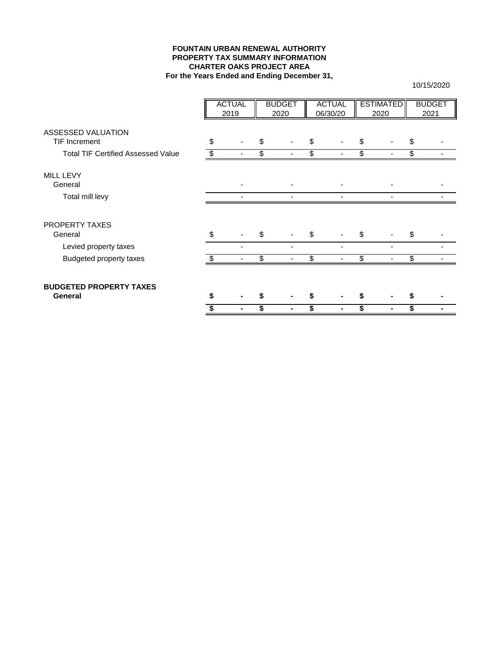## **FOUNTAIN URBAN RENEWAL AUTHORITY PROPERTY TAX SUMMARY INFORMATION CHARTER OAKS PROJECT AREA For the Years Ended and Ending December 31,**

|                                            |    | <b>ACTUAL</b> | <b>BUDGET</b> | <b>ACTUAL</b> | <b>ESTIMATED</b> |      | <b>BUDGET</b> |
|--------------------------------------------|----|---------------|---------------|---------------|------------------|------|---------------|
|                                            |    | 2019          | 2020          | 06/30/20      | 2020             | 2021 |               |
| ASSESSED VALUATION<br><b>TIF Increment</b> | \$ |               | \$            | \$            | \$               | \$   |               |
| <b>Total TIF Certified Assessed Value</b>  |    |               | \$            | \$            | \$               | \$   |               |
| MILL LEVY<br>General                       |    |               |               |               |                  |      |               |
| Total mill levy                            |    |               |               |               |                  |      |               |
| PROPERTY TAXES<br>General                  | \$ |               | \$            | \$            | \$               | \$   |               |
| Levied property taxes                      |    |               |               |               |                  |      |               |
| <b>Budgeted property taxes</b>             | -S |               | \$            | \$            | \$               | \$   |               |
| <b>BUDGETED PROPERTY TAXES</b><br>General  |    |               |               |               |                  |      |               |
|                                            |    |               |               | \$            |                  | \$   |               |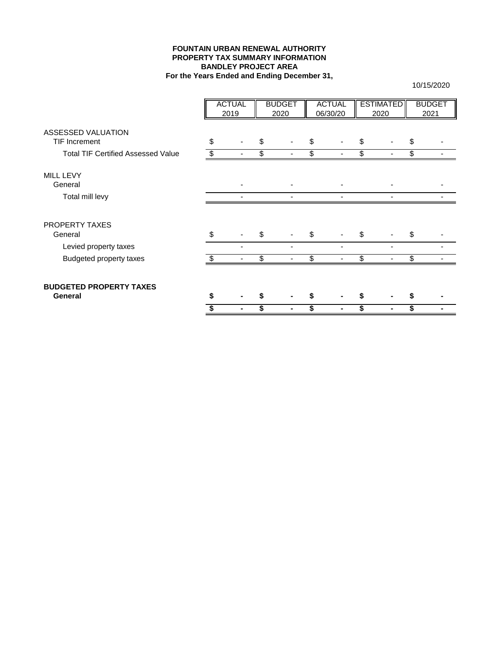## **FOUNTAIN URBAN RENEWAL AUTHORITY PROPERTY TAX SUMMARY INFORMATION BANDLEY PROJECT AREA For the Years Ended and Ending December 31,**

|                                            | <b>ACTUAL</b><br>2019 | <b>BUDGET</b><br>2020 | <b>ACTUAL</b><br>06/30/20 |     | <b>ESTIMATED</b><br>2020 |    | <b>BUDGET</b><br>2021 |
|--------------------------------------------|-----------------------|-----------------------|---------------------------|-----|--------------------------|----|-----------------------|
|                                            |                       |                       |                           |     |                          |    |                       |
| ASSESSED VALUATION<br><b>TIF Increment</b> | \$                    | \$                    | \$                        | \$  |                          | \$ |                       |
|                                            |                       |                       |                           |     |                          |    |                       |
| <b>Total TIF Certified Assessed Value</b>  |                       | \$                    | \$                        | \$  |                          | \$ |                       |
| MILL LEVY                                  |                       |                       |                           |     |                          |    |                       |
| General                                    |                       |                       |                           |     |                          |    |                       |
| Total mill levy                            |                       |                       |                           |     |                          |    |                       |
| <b>PROPERTY TAXES</b><br>General           | \$                    | \$                    | \$                        | S   |                          | S  |                       |
| Levied property taxes                      |                       |                       |                           |     |                          |    |                       |
| <b>Budgeted property taxes</b>             |                       | \$                    | \$                        | \$. |                          | \$ |                       |
| <b>BUDGETED PROPERTY TAXES</b><br>General  |                       |                       |                           |     |                          |    |                       |
|                                            |                       |                       | \$                        |     |                          | \$ |                       |
|                                            |                       |                       |                           |     |                          |    |                       |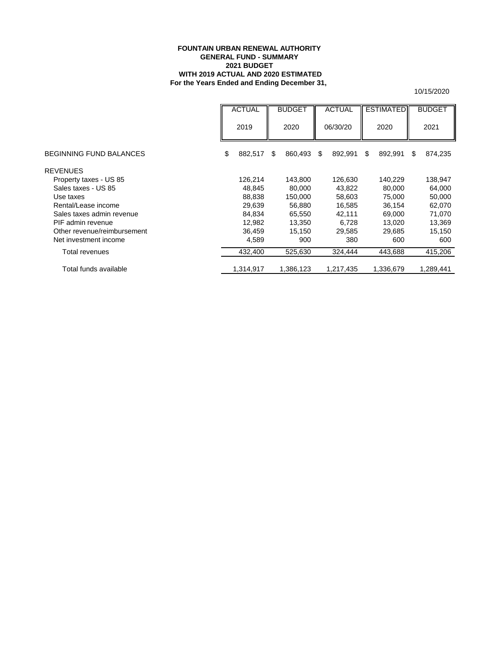### **For the Years Ended and Ending December 31, FOUNTAIN URBAN RENEWAL AUTHORITY GENERAL FUND - SUMMARY 2021 BUDGET WITH 2019 ACTUAL AND 2020 ESTIMATED**

|                                | <b>ACTUAL</b> | <b>BUDGET</b> | <b>ACTUAL</b> | <b>ESTIMATED</b> | <b>BUDGET</b> |
|--------------------------------|---------------|---------------|---------------|------------------|---------------|
|                                | 2019          | 2020          | 06/30/20      | 2020             | 2021          |
| <b>BEGINNING FUND BALANCES</b> | \$<br>882,517 | 860,493<br>\$ | \$<br>892,991 | \$<br>892,991    | S<br>874,235  |
| <b>REVENUES</b>                |               |               |               |                  |               |
| Property taxes - US 85         | 126,214       | 143,800       | 126,630       | 140,229          | 138,947       |
| Sales taxes - US 85            | 48,845        | 80,000        | 43,822        | 80,000           | 64,000        |
| Use taxes                      | 88,838        | 150,000       | 58,603        | 75,000           | 50,000        |
| Rental/Lease income            | 29,639        | 56,880        | 16,585        | 36.154           | 62,070        |
| Sales taxes admin revenue      | 84,834        | 65,550        | 42,111        | 69,000           | 71,070        |
| PIF admin revenue              | 12,982        | 13,350        | 6,728         | 13.020           | 13,369        |
| Other revenue/reimbursement    | 36,459        | 15,150        | 29,585        | 29,685           | 15,150        |
| Net investment income          | 4,589         | 900           | 380           | 600              | 600           |
| Total revenues                 | 432,400       | 525,630       | 324,444       | 443,688          | 415,206       |
| Total funds available          | 1,314,917     | 1,386,123     | 1,217,435     | 1,336,679        | 1.289.441     |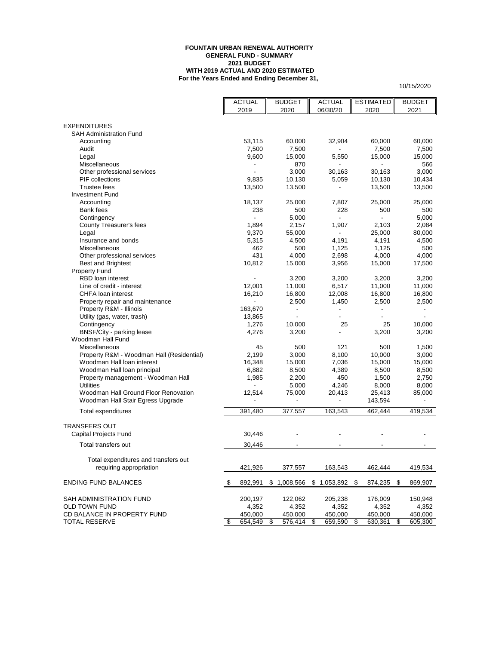#### **FOUNTAIN URBAN RENEWAL AUTHORITY GENERAL FUND - SUMMARY 2021 BUDGET WITH 2019 ACTUAL AND 2020 ESTIMATED For the Years Ended and Ending December 31,**

|                                           | <b>ACTUAL</b>            |     | <b>BUDGET</b>                | <b>ACTUAL</b>                | <b>ESTIMATED</b>         |     | <b>BUDGET</b>            |
|-------------------------------------------|--------------------------|-----|------------------------------|------------------------------|--------------------------|-----|--------------------------|
|                                           | 2019                     |     | 2020                         | 06/30/20                     | 2020                     |     | 2021                     |
|                                           |                          |     |                              |                              |                          |     |                          |
| <b>EXPENDITURES</b>                       |                          |     |                              |                              |                          |     |                          |
| <b>SAH Administration Fund</b>            |                          |     |                              |                              |                          |     |                          |
| Accounting                                | 53,115                   |     | 60,000                       | 32,904                       | 60,000                   |     | 60,000                   |
| Audit                                     | 7,500                    |     | 7,500                        |                              | 7,500                    |     | 7,500                    |
| Legal                                     | 9,600                    |     | 15,000                       | 5,550                        | 15,000                   |     | 15,000                   |
| Miscellaneous                             |                          |     | 870                          |                              | ÷,                       |     | 566                      |
| Other professional services               |                          |     | 3,000                        | 30,163                       | 30,163                   |     | 3,000                    |
| <b>PIF</b> collections                    | 9,835                    |     | 10,130                       | 5,059                        | 10,130                   |     | 10,434                   |
| <b>Trustee fees</b>                       | 13,500                   |     | 13,500                       |                              | 13,500                   |     | 13,500                   |
| <b>Investment Fund</b>                    |                          |     |                              |                              |                          |     |                          |
| Accounting                                | 18,137                   |     | 25,000                       | 7,807                        | 25,000                   |     | 25,000                   |
| Bank fees                                 | 238                      |     | 500                          | 228                          | 500                      |     | 500                      |
| Contingency                               |                          |     | 5,000                        |                              |                          |     | 5,000                    |
| County Treasurer's fees                   | 1,894                    |     | 2,157                        | 1,907                        | 2,103                    |     | 2,084                    |
| Legal                                     | 9,370                    |     | 55,000                       | $\blacksquare$               | 25,000                   |     | 80,000                   |
| Insurance and bonds                       | 5,315                    |     | 4,500                        | 4,191                        | 4,191                    |     | 4,500                    |
| Miscellaneous                             | 462                      |     | 500                          | 1,125                        | 1,125                    |     | 500                      |
| Other professional services               | 431                      |     | 4,000                        | 2,698                        | 4,000                    |     | 4,000                    |
| <b>Best and Brightest</b>                 | 10,812                   |     | 15,000                       | 3,956                        | 15,000                   |     | 17,500                   |
| <b>Property Fund</b>                      |                          |     |                              |                              |                          |     |                          |
| RBD loan interest                         |                          |     | 3,200                        | 3,200                        | 3,200                    |     | 3,200                    |
| Line of credit - interest                 | 12,001                   |     | 11,000                       | 6,517                        | 11,000                   |     | 11,000                   |
| CHFA loan interest                        | 16,210                   |     | 16,800                       | 12,008                       | 16,800                   |     | 16,800                   |
| Property repair and maintenance           | $\overline{\phantom{a}}$ |     | 2,500                        | 1,450                        | 2,500                    |     | 2,500                    |
| Property R&M - Illinois                   | 163,670                  |     | $\qquad \qquad \blacksquare$ | $\qquad \qquad \blacksquare$ | $\overline{\phantom{a}}$ |     | $\overline{\phantom{a}}$ |
| Utility (gas, water, trash)               | 13,865                   |     |                              | ٠                            |                          |     |                          |
| Contingency                               | 1,276                    |     | 10,000                       | 25                           | 25                       |     | 10,000                   |
| BNSF/City - parking lease                 | 4,276                    |     | 3,200                        |                              | 3,200                    |     | 3,200                    |
| Woodman Hall Fund                         |                          |     |                              |                              |                          |     |                          |
| Miscellaneous                             | 45                       |     | 500                          | 121                          | 500                      |     | 1,500                    |
| Property R&M - Woodman Hall (Residential) | 2,199                    |     | 3,000                        | 8,100                        | 10,000                   |     | 3,000                    |
| Woodman Hall loan interest                | 16,348                   |     | 15,000                       | 7,036                        | 15,000                   |     | 15,000                   |
| Woodman Hall loan principal               | 6,882                    |     | 8,500                        | 4,389                        | 8,500                    |     | 8,500                    |
| Property management - Woodman Hall        | 1,985                    |     | 2,200                        | 450                          | 1,500                    |     | 2,750                    |
| <b>Utilities</b>                          |                          |     | 5,000                        | 4,246                        | 8,000                    |     | 8,000                    |
| Woodman Hall Ground Floor Renovation      | 12,514                   |     | 75,000                       | 20,413                       | 25,413                   |     | 85,000                   |
| Woodman Hall Stair Egress Upgrade         |                          |     | ÷.                           |                              | 143,594                  |     |                          |
| Total expenditures                        | 391,480                  |     | 377,557                      | 163,543                      | 462.444                  |     | 419,534                  |
|                                           |                          |     |                              |                              |                          |     |                          |
| <b>TRANSFERS OUT</b>                      |                          |     |                              |                              |                          |     |                          |
| Capital Projects Fund                     | 30,446                   |     | $\qquad \qquad \blacksquare$ | $\overline{a}$               |                          |     |                          |
| Total transfers out                       | 30,446                   |     | $\blacksquare$               | $\blacksquare$               | $\blacksquare$           |     |                          |
| Total expenditures and transfers out      |                          |     |                              |                              |                          |     |                          |
| requiring appropriation                   | 421,926                  |     | 377,557                      | 163,543                      | 462,444                  |     | 419,534                  |
|                                           |                          |     |                              |                              |                          |     |                          |
| <b>ENDING FUND BALANCES</b>               | \$<br>892,991            |     | \$1,008,566                  | $$1,053,892$ \$              | 874,235                  | -\$ | 869,907                  |
| SAH ADMINISTRATION FUND                   | 200,197                  |     | 122,062                      | 205,238                      | 176,009                  |     | 150,948                  |
| <b>OLD TOWN FUND</b>                      | 4,352                    |     | 4,352                        | 4,352                        | 4,352                    |     | 4,352                    |
| CD BALANCE IN PROPERTY FUND               | 450,000                  |     | 450,000                      | 450,000                      | 450,000                  |     | 450,000                  |
| <b>TOTAL RESERVE</b>                      | \$<br>654,549            | -\$ | 576,414 \$                   | 659,590                      | \$<br>630,361            | \$  | 605,300                  |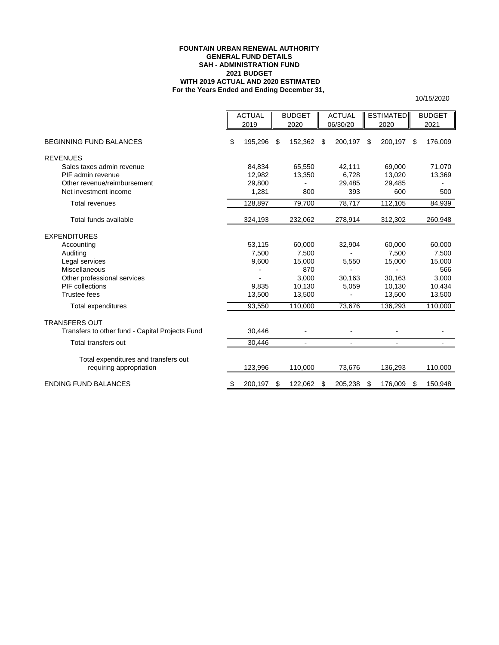### **For the Years Ended and Ending December 31, FOUNTAIN URBAN RENEWAL AUTHORITY GENERAL FUND DETAILS 2021 BUDGET WITH 2019 ACTUAL AND 2020 ESTIMATED SAH - ADMINISTRATION FUND**

|                                                                 | <b>ACTUAL</b><br>2019 | <b>BUDGET</b><br>2020    | <b>ACTUAL</b><br>06/30/20 | <b>ESTIMATED</b><br>2020 |    | <b>BUDGET</b><br>2021 |
|-----------------------------------------------------------------|-----------------------|--------------------------|---------------------------|--------------------------|----|-----------------------|
| <b>BEGINNING FUND BALANCES</b>                                  | \$<br>195,296         | \$<br>152,362            | \$<br>200,197             | \$<br>200,197            | S  | 176,009               |
| <b>REVENUES</b>                                                 |                       |                          |                           |                          |    |                       |
| Sales taxes admin revenue                                       | 84,834                | 65,550                   | 42,111                    | 69,000                   |    | 71.070                |
| PIF admin revenue                                               | 12,982                | 13,350                   | 6,728                     | 13,020                   |    | 13,369                |
| Other revenue/reimbursement                                     | 29,800                |                          | 29,485                    | 29,485                   |    |                       |
| Net investment income                                           | 1,281                 | 800                      | 393                       | 600                      |    | 500                   |
| <b>Total revenues</b>                                           | 128,897               | 79,700                   | 78,717                    | 112,105                  |    | 84,939                |
| Total funds available                                           | 324,193               | 232,062                  | 278,914                   | 312,302                  |    | 260,948               |
| <b>EXPENDITURES</b>                                             |                       |                          |                           |                          |    |                       |
| Accounting                                                      | 53,115                | 60,000                   | 32,904                    | 60,000                   |    | 60,000                |
| Auditing                                                        | 7,500                 | 7,500                    |                           | 7,500                    |    | 7,500                 |
| Legal services                                                  | 9,600                 | 15,000                   | 5,550                     | 15,000                   |    | 15,000                |
| Miscellaneous                                                   |                       | 870                      |                           |                          |    | 566                   |
| Other professional services                                     |                       | 3,000                    | 30,163                    | 30,163                   |    | 3,000                 |
| PIF collections                                                 | 9,835                 | 10,130                   | 5,059                     | 10,130                   |    | 10,434                |
| <b>Trustee fees</b>                                             | 13,500                | 13,500                   |                           | 13,500                   |    | 13,500                |
| Total expenditures                                              | 93,550                | 110,000                  | 73,676                    | 136,293                  |    | 110,000               |
| <b>TRANSFERS OUT</b>                                            |                       |                          |                           |                          |    |                       |
| Transfers to other fund - Capital Projects Fund                 | 30,446                |                          |                           |                          |    |                       |
| Total transfers out                                             | 30,446                | $\overline{\phantom{a}}$ | $\overline{\phantom{a}}$  | $\blacksquare$           |    |                       |
| Total expenditures and transfers out<br>requiring appropriation | 123,996               | 110,000                  | 73,676                    | 136,293                  |    | 110,000               |
| <b>ENDING FUND BALANCES</b>                                     | \$<br>200,197         | \$<br>122,062            | \$<br>205,238             | \$<br>176,009            | S. | 150,948               |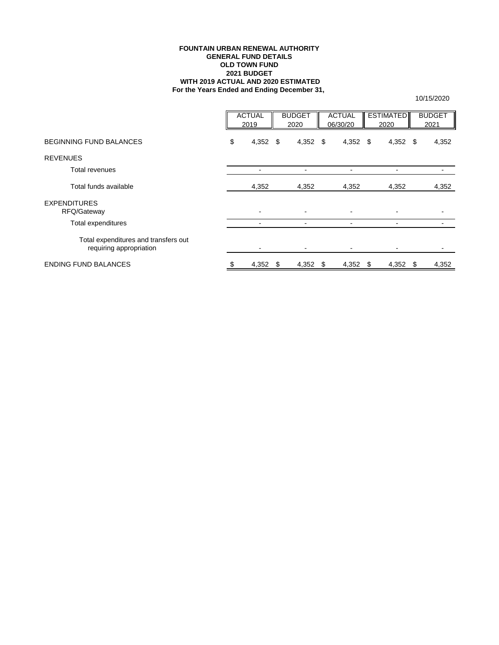### **FOUNTAIN URBAN RENEWAL AUTHORITY GENERAL FUND DETAILS OLD TOWN FUND 2021 BUDGET WITH 2019 ACTUAL AND 2020 ESTIMATED For the Years Ended and Ending December 31,**

|                                                                 | <b>ACTUAL</b><br>2019    |      | <b>BUDGET</b><br>2020 | <b>ACTUAL</b><br>06/30/20 |            | <b>ESTIMATED</b><br>2020 |                          | <b>BUDGET</b><br>2021 |       |
|-----------------------------------------------------------------|--------------------------|------|-----------------------|---------------------------|------------|--------------------------|--------------------------|-----------------------|-------|
| <b>BEGINNING FUND BALANCES</b>                                  | \$<br>4,352 $$$          |      | 4,352 $$$             |                           | $4,352$ \$ |                          | 4,352 $\sqrt{ }$         |                       | 4,352 |
| <b>REVENUES</b>                                                 |                          |      |                       |                           |            |                          |                          |                       |       |
| Total revenues                                                  | -                        |      | -                     |                           |            |                          |                          |                       |       |
| Total funds available                                           | 4,352                    |      | 4,352                 |                           | 4,352      |                          | 4,352                    |                       | 4,352 |
| <b>EXPENDITURES</b><br>RFQ/Gateway                              | $\overline{\phantom{0}}$ |      | $\overline{a}$        |                           |            |                          |                          |                       |       |
| Total expenditures                                              |                          |      | $\blacksquare$        |                           |            |                          | $\overline{\phantom{0}}$ |                       |       |
| Total expenditures and transfers out<br>requiring appropriation |                          |      | $\blacksquare$        |                           |            |                          |                          |                       |       |
| <b>ENDING FUND BALANCES</b>                                     | 4,352                    | - \$ | $4,352$ \$            |                           | $4,352$ \$ |                          | 4,352                    | - \$                  | 4,352 |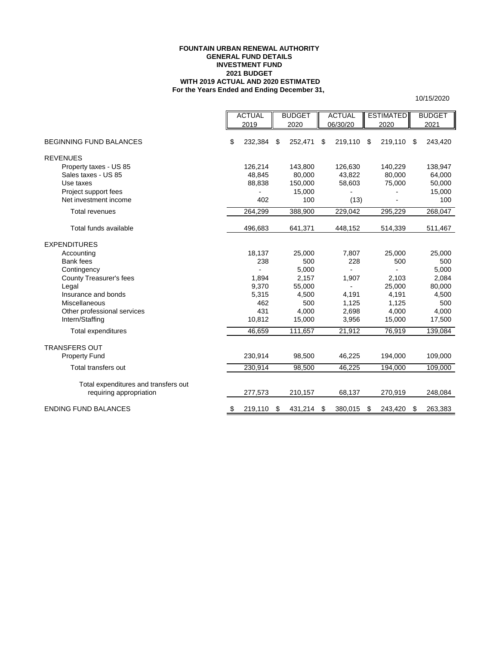### **FOUNTAIN URBAN RENEWAL AUTHORITY GENERAL FUND DETAILS INVESTMENT FUND 2021 BUDGET WITH 2019 ACTUAL AND 2020 ESTIMATED For the Years Ended and Ending December 31,**

10/15/2020

|                                                                 | <b>ACTUAL</b> | <b>BUDGET</b> | <b>ACTUAL</b>    | <b>ESTIMATED</b> | <b>BUDGET</b> |
|-----------------------------------------------------------------|---------------|---------------|------------------|------------------|---------------|
|                                                                 | 2019          | 2020          | 06/30/20         | 2020             | 2021          |
| <b>BEGINNING FUND BALANCES</b>                                  | \$<br>232,384 | \$<br>252,471 | \$<br>219,110 \$ | 219,110          | \$<br>243,420 |
| <b>REVENUES</b>                                                 |               |               |                  |                  |               |
| Property taxes - US 85                                          | 126,214       | 143,800       | 126,630          | 140,229          | 138,947       |
| Sales taxes - US 85                                             | 48,845        | 80,000        | 43,822           | 80,000           | 64,000        |
| Use taxes                                                       | 88,838        | 150,000       | 58,603           | 75,000           | 50,000        |
| Project support fees                                            |               | 15,000        |                  |                  | 15,000        |
| Net investment income                                           | 402           | 100           | (13)             |                  | 100           |
| <b>Total revenues</b>                                           | 264,299       | 388,900       | 229,042          | 295,229          | 268,047       |
| Total funds available                                           | 496,683       | 641,371       | 448,152          | 514,339          | 511,467       |
| <b>EXPENDITURES</b>                                             |               |               |                  |                  |               |
| Accounting                                                      | 18,137        | 25,000        | 7,807            | 25,000           | 25,000        |
| Bank fees                                                       | 238           | 500           | 228              | 500              | 500           |
| Contingency                                                     |               | 5,000         |                  |                  | 5,000         |
| County Treasurer's fees                                         | 1,894         | 2,157         | 1,907            | 2,103            | 2,084         |
| Legal                                                           | 9,370         | 55,000        |                  | 25,000           | 80,000        |
| Insurance and bonds                                             | 5,315         | 4,500         | 4,191            | 4,191            | 4,500         |
| Miscellaneous                                                   | 462           | 500           | 1,125            | 1,125            | 500           |
| Other professional services                                     | 431           | 4,000         | 2,698            | 4,000            | 4,000         |
| Intern/Staffing                                                 | 10,812        | 15,000        | 3,956            | 15,000           | 17,500        |
| Total expenditures                                              | 46,659        | 111,657       | 21,912           | 76,919           | 139,084       |
| <b>TRANSFERS OUT</b>                                            |               |               |                  |                  |               |
| <b>Property Fund</b>                                            | 230,914       | 98,500        | 46,225           | 194,000          | 109,000       |
| Total transfers out                                             | 230,914       | 98,500        | 46,225           | 194,000          | 109,000       |
| Total expenditures and transfers out<br>requiring appropriation | 277,573       | 210,157       | 68,137           | 270,919          | 248,084       |
| <b>ENDING FUND BALANCES</b>                                     | \$<br>219,110 | \$<br>431,214 | \$<br>380,015    | \$<br>243,420    | \$<br>263,383 |

No assurance provided. See summary of significant assumptions. 9 PRELIMINARY DRAFT - SUBJECT TO REVISION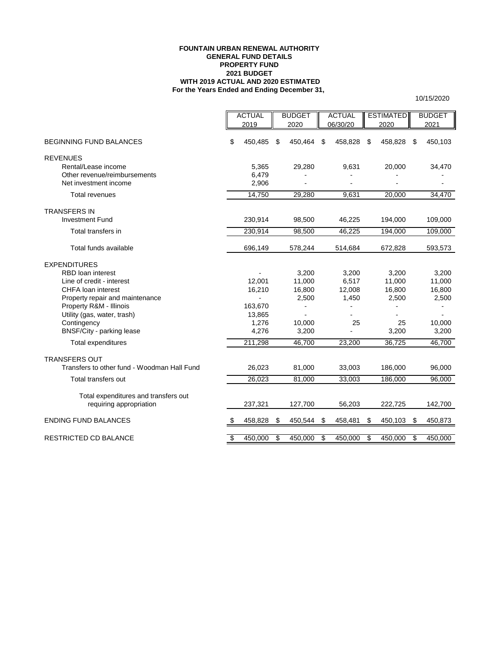### **FOUNTAIN URBAN RENEWAL AUTHORITY GENERAL FUND DETAILS PROPERTY FUND 2021 BUDGET WITH 2019 ACTUAL AND 2020 ESTIMATED For the Years Ended and Ending December 31,**

|                                             |    | <b>ACTUAL</b> | <b>BUDGET</b>    |    | <b>ACTUAL</b> | <b>ESTIMATED</b> | <b>BUDGET</b> |
|---------------------------------------------|----|---------------|------------------|----|---------------|------------------|---------------|
|                                             |    | 2019          | 2020             |    | 06/30/20      | 2020             | 2021          |
|                                             |    |               |                  |    |               |                  |               |
| <b>BEGINNING FUND BALANCES</b>              | \$ | 450,485       | \$<br>450,464 \$ |    | 458,828       | \$<br>458,828    | \$<br>450,103 |
| <b>REVENUES</b>                             |    |               |                  |    |               |                  |               |
| Rental/Lease income                         |    | 5,365         | 29,280           |    | 9,631         | 20,000           | 34,470        |
| Other revenue/reimbursements                |    | 6,479         |                  |    |               |                  |               |
| Net investment income                       |    | 2,906         |                  |    |               |                  |               |
| <b>Total revenues</b>                       |    | 14,750        | 29,280           |    | 9,631         | 20,000           | 34,470        |
| <b>TRANSFERS IN</b>                         |    |               |                  |    |               |                  |               |
| <b>Investment Fund</b>                      |    | 230,914       | 98,500           |    | 46,225        | 194,000          | 109,000       |
| Total transfers in                          |    | 230,914       | 98,500           |    | 46,225        | 194,000          | 109,000       |
| Total funds available                       |    | 696,149       | 578,244          |    | 514,684       | 672,828          | 593,573       |
| <b>EXPENDITURES</b>                         |    |               |                  |    |               |                  |               |
| <b>RBD</b> loan interest                    |    |               | 3,200            |    | 3,200         | 3,200            | 3,200         |
| Line of credit - interest                   |    | 12.001        | 11,000           |    | 6,517         | 11,000           | 11,000        |
| <b>CHFA</b> loan interest                   |    | 16,210        | 16,800           |    | 12,008        | 16,800           | 16,800        |
| Property repair and maintenance             |    |               | 2,500            |    | 1,450         | 2,500            | 2,500         |
| Property R&M - Illinois                     |    | 163,670       |                  |    |               |                  |               |
| Utility (gas, water, trash)                 |    | 13,865        |                  |    |               |                  |               |
| Contingency                                 |    | 1,276         | 10.000           |    | 25            | 25               | 10,000        |
| BNSF/City - parking lease                   |    | 4,276         | 3,200            |    |               | 3,200            | 3,200         |
| <b>Total expenditures</b>                   |    | 211,298       | 46,700           |    | 23,200        | 36,725           | 46,700        |
| <b>TRANSFERS OUT</b>                        |    |               |                  |    |               |                  |               |
| Transfers to other fund - Woodman Hall Fund |    | 26,023        | 81,000           |    | 33,003        | 186,000          | 96,000        |
| Total transfers out                         |    | 26,023        | 81,000           |    | 33,003        | 186,000          | 96,000        |
| Total expenditures and transfers out        |    |               |                  |    |               |                  |               |
| requiring appropriation                     |    | 237,321       | 127,700          |    | 56,203        | 222,725          | 142,700       |
| <b>ENDING FUND BALANCES</b>                 | \$ | 458,828       | \$<br>450,544    | \$ | 458,481       | \$<br>450,103    | \$<br>450,873 |
| <b>RESTRICTED CD BALANCE</b>                | s, | 450.000       | \$<br>450,000    | s, | 450,000       | \$<br>450,000    | \$<br>450,000 |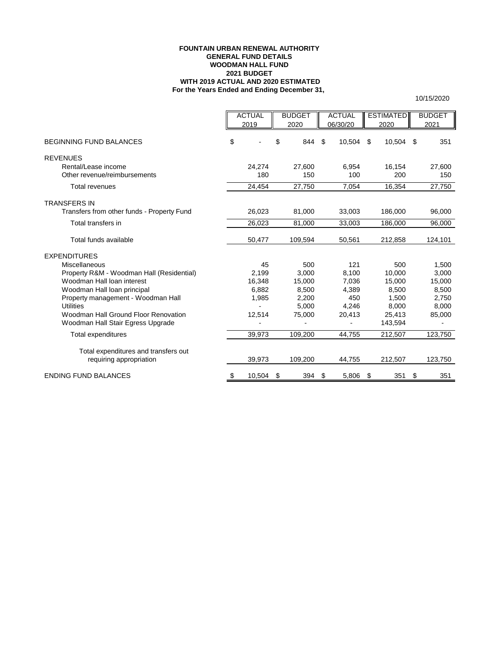### **For the Years Ended and Ending December 31, FOUNTAIN URBAN RENEWAL AUTHORITY GENERAL FUND DETAILS WOODMAN HALL FUND 2021 BUDGET WITH 2019 ACTUAL AND 2020 ESTIMATED**

|                                                                   | <b>ACTUAL</b><br>2019 | <b>BUDGET</b><br>2020 | <b>ACTUAL</b><br>06/30/20 | <b>ESTIMATED</b><br>2020 |                | <b>BUDGET</b><br>2021 |
|-------------------------------------------------------------------|-----------------------|-----------------------|---------------------------|--------------------------|----------------|-----------------------|
| <b>BEGINNING FUND BALANCES</b>                                    | \$                    | \$<br>844             | \$<br>10,504              | \$                       | 10,504         | \$<br>351             |
| <b>REVENUES</b>                                                   |                       |                       |                           |                          |                |                       |
| Rental/Lease income<br>Other revenue/reimbursements               | 24.274<br>180         | 27,600<br>150         | 6,954<br>100              |                          | 16.154<br>200  | 27,600<br>150         |
| Total revenues                                                    | 24,454                | 27,750                | 7,054                     |                          | 16,354         | 27,750                |
| <b>TRANSFERS IN</b>                                               |                       |                       |                           |                          |                |                       |
| Transfers from other funds - Property Fund                        | 26,023                | 81,000                | 33,003                    |                          | 186,000        | 96,000                |
| Total transfers in                                                | 26,023                | 81,000                | 33,003                    |                          | 186,000        | 96,000                |
| Total funds available                                             | 50,477                | 109,594               | 50,561                    |                          | 212,858        | 124,101               |
| <b>EXPENDITURES</b>                                               |                       |                       |                           |                          |                |                       |
| Miscellaneous                                                     | 45                    | 500                   | 121                       |                          | 500            | 1.500                 |
| Property R&M - Woodman Hall (Residential)                         | 2,199                 | 3,000                 | 8.100                     |                          | 10.000         | 3,000                 |
| Woodman Hall loan interest                                        | 16,348                | 15,000                | 7,036                     |                          | 15,000         | 15,000                |
| Woodman Hall loan principal<br>Property management - Woodman Hall | 6,882<br>1,985        | 8,500<br>2,200        | 4,389<br>450              |                          | 8,500<br>1,500 | 8,500<br>2,750        |
| <b>Utilities</b>                                                  |                       | 5.000                 | 4.246                     |                          | 8.000          | 8.000                 |
| Woodman Hall Ground Floor Renovation                              | 12,514                | 75,000                | 20,413                    |                          | 25,413         | 85,000                |
| Woodman Hall Stair Egress Upgrade                                 |                       |                       |                           |                          | 143,594        |                       |
| Total expenditures                                                | 39,973                | 109,200               | 44,755                    |                          | 212,507        | 123,750               |
| Total expenditures and transfers out                              |                       |                       |                           |                          |                |                       |
| requiring appropriation                                           | 39,973                | 109,200               | 44,755                    |                          | 212,507        | 123,750               |
| <b>ENDING FUND BALANCES</b>                                       | \$<br>10,504          | \$<br>394             | \$<br>5,806               | \$                       | 351            | \$<br>351             |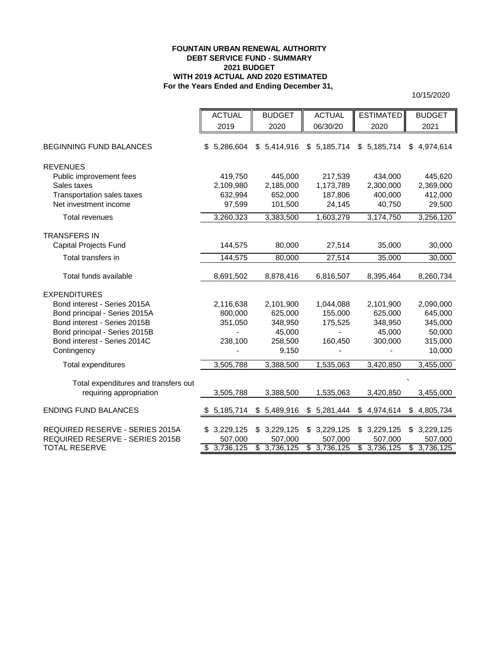# **FOUNTAIN URBAN RENEWAL AUTHORITY DEBT SERVICE FUND - SUMMARY 2021 BUDGET WITH 2019 ACTUAL AND 2020 ESTIMATED For the Years Ended and Ending December 31,**

|                                      | <b>ACTUAL</b>   | <b>BUDGET</b> | <b>ACTUAL</b> | <b>ESTIMATED</b>             | <b>BUDGET</b>   |
|--------------------------------------|-----------------|---------------|---------------|------------------------------|-----------------|
|                                      | 2019            | 2020          | 06/30/20      | 2020                         | 2021            |
|                                      |                 |               |               |                              |                 |
| <b>BEGINNING FUND BALANCES</b>       | \$5,286,604     | \$5,414,916   | \$5,185,714   | 5,185,714<br>\$              | 4,974,614<br>\$ |
|                                      |                 |               |               |                              |                 |
| <b>REVENUES</b>                      |                 |               |               |                              |                 |
| Public improvement fees              | 419,750         | 445,000       | 217,539       | 434,000                      | 445,620         |
| Sales taxes                          | 2,109,980       | 2,185,000     | 1,173,789     | 2,300,000                    | 2,369,000       |
| Transportation sales taxes           | 632,994         | 652,000       | 187,806       | 400,000                      | 412,000         |
| Net investment income                | 97,599          | 101,500       | 24,145        | 40,750                       | 29,500          |
| <b>Total revenues</b>                | 3,260,323       | 3,383,500     | 1,603,279     | 3,174,750                    | 3,256,120       |
| <b>TRANSFERS IN</b>                  |                 |               |               |                              |                 |
| Capital Projects Fund                | 144,575         | 80,000        | 27,514        | 35,000                       | 30,000          |
|                                      |                 |               |               |                              |                 |
| Total transfers in                   | 144,575         | 80,000        | 27,514        | 35,000                       | 30,000          |
| Total funds available                | 8,691,502       | 8,878,416     | 6,816,507     | 8,395,464                    | 8,260,734       |
|                                      |                 |               |               |                              |                 |
| <b>EXPENDITURES</b>                  |                 |               |               |                              |                 |
| Bond interest - Series 2015A         | 2,116,638       | 2,101,900     | 1,044,088     | 2,101,900                    | 2,090,000       |
| Bond principal - Series 2015A        | 800,000         | 625,000       | 155,000       | 625,000                      | 645,000         |
| Bond interest - Series 2015B         | 351,050         | 348,950       | 175,525       | 348,950                      | 345,000         |
| Bond principal - Series 2015B        |                 | 45,000        |               | 45,000                       | 50,000          |
| Bond interest - Series 2014C         | 238,100         | 258,500       | 160,450       | 300,000                      | 315,000         |
| Contingency                          |                 | 9,150         |               |                              | 10,000          |
| Total expenditures                   | 3,505,788       | 3,388,500     | 1,535,063     | 3,420,850                    | 3,455,000       |
|                                      |                 |               |               |                              |                 |
| Total expenditures and transfers out |                 |               |               |                              |                 |
| requiring appropriation              | 3,505,788       | 3,388,500     | 1,535,063     | 3,420,850                    | 3,455,000       |
| <b>ENDING FUND BALANCES</b>          | 5,185,714<br>\$ | \$5,489,916   | \$5,281,444   | \$4,974,614                  | \$4,805,734     |
|                                      |                 |               |               |                              |                 |
| REQUIRED RESERVE - SERIES 2015A      | 3,229,125<br>\$ | \$3,229,125   | \$3,229,125   | 3,229,125<br>\$              | 3,229,125<br>\$ |
| REQUIRED RESERVE - SERIES 2015B      | 507,000         | 507,000       | 507,000       | 507,000                      | 507,000         |
| <b>TOTAL RESERVE</b>                 | \$3,736,125     | \$3,736,125   | \$3,736,125   | $\overline{\$}$<br>3,736,125 | \$3,736,125     |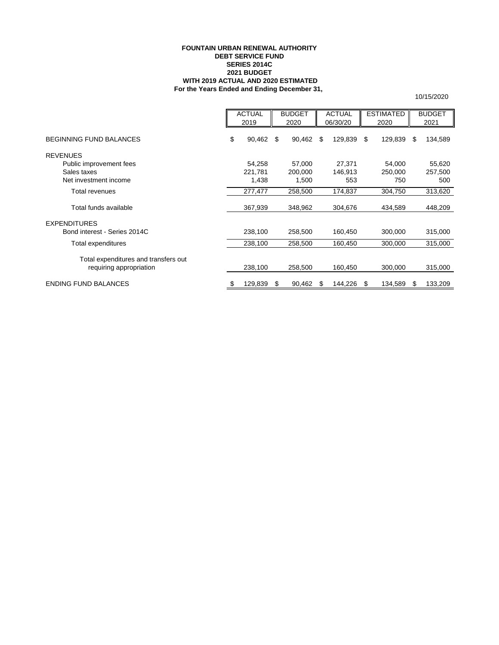### **FOUNTAIN URBAN RENEWAL AUTHORITY DEBT SERVICE FUND SERIES 2014C 2021 BUDGET WITH 2019 ACTUAL AND 2020 ESTIMATED For the Years Ended and Ending December 31,**

|                                      | <b>ACTUAL</b><br>2019 |         | <b>BUDGET</b><br>2020 |         | <b>ACTUAL</b><br>06/30/20 |         | <b>ESTIMATED</b><br>2020 |         | <b>BUDGET</b><br>2021 |         |
|--------------------------------------|-----------------------|---------|-----------------------|---------|---------------------------|---------|--------------------------|---------|-----------------------|---------|
|                                      |                       |         |                       |         |                           |         |                          |         |                       |         |
| <b>BEGINNING FUND BALANCES</b>       | \$                    | 90,462  | \$                    | 90,462  | \$                        | 129,839 | \$                       | 129,839 | S                     | 134,589 |
| <b>REVENUES</b>                      |                       |         |                       |         |                           |         |                          |         |                       |         |
| Public improvement fees              |                       | 54,258  |                       | 57,000  |                           | 27,371  |                          | 54,000  |                       | 55,620  |
| Sales taxes                          |                       | 221,781 |                       | 200,000 |                           | 146,913 |                          | 250,000 |                       | 257,500 |
| Net investment income                |                       | 1,438   |                       | 1,500   |                           | 553     |                          | 750     |                       | 500     |
| <b>Total revenues</b>                |                       | 277,477 |                       | 258,500 |                           | 174,837 |                          | 304,750 |                       | 313,620 |
| Total funds available                |                       | 367,939 |                       | 348,962 |                           | 304,676 |                          | 434,589 |                       | 448,209 |
| <b>EXPENDITURES</b>                  |                       |         |                       |         |                           |         |                          |         |                       |         |
| Bond interest - Series 2014C         |                       | 238,100 |                       | 258,500 |                           | 160,450 |                          | 300,000 |                       | 315,000 |
| Total expenditures                   |                       | 238,100 |                       | 258,500 |                           | 160,450 |                          | 300,000 |                       | 315,000 |
| Total expenditures and transfers out |                       |         |                       |         |                           |         |                          |         |                       |         |
| requiring appropriation              |                       | 238,100 |                       | 258,500 |                           | 160,450 |                          | 300,000 |                       | 315,000 |
| <b>ENDING FUND BALANCES</b>          | \$                    | 129,839 | S                     | 90,462  | S                         | 144,226 | -S                       | 134,589 | S                     | 133,209 |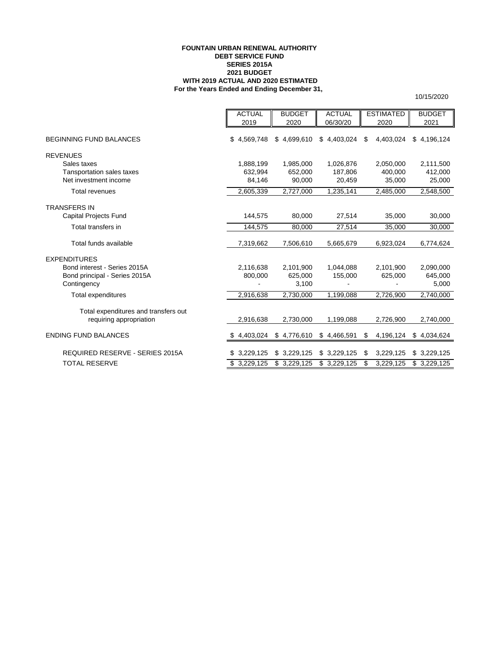### **FOUNTAIN URBAN RENEWAL AUTHORITY DEBT SERVICE FUND SERIES 2015A 2021 BUDGET WITH 2019 ACTUAL AND 2020 ESTIMATED For the Years Ended and Ending December 31,**

|                                      | <b>ACTUAL</b>   | <b>BUDGET</b> | <b>ACTUAL</b> | <b>ESTIMATED</b> | <b>BUDGET</b> |
|--------------------------------------|-----------------|---------------|---------------|------------------|---------------|
|                                      | 2019            | 2020          | 06/30/20      | 2020             | 2021          |
| <b>BEGINNING FUND BALANCES</b>       | \$4,569,748     | \$4,699,610   | \$4,403,024   | \$<br>4,403,024  | \$4,196,124   |
| <b>REVENUES</b>                      |                 |               |               |                  |               |
| Sales taxes                          | 1,888,199       | 1,985,000     | 1,026,876     | 2,050,000        | 2,111,500     |
| Tansportation sales taxes            | 632.994         | 652,000       | 187,806       | 400.000          | 412,000       |
| Net investment income                | 84,146          | 90,000        | 20,459        | 35,000           | 25,000        |
| <b>Total revenues</b>                | 2,605,339       | 2,727,000     | 1,235,141     | 2,485,000        | 2,548,500     |
| <b>TRANSFERS IN</b>                  |                 |               |               |                  |               |
| Capital Projects Fund                | 144.575         | 80,000        | 27,514        | 35,000           | 30,000        |
| Total transfers in                   | 144,575         | 80,000        | 27,514        | 35,000           | 30,000        |
| Total funds available                | 7,319,662       | 7,506,610     | 5,665,679     | 6,923,024        | 6,774,624     |
| <b>EXPENDITURES</b>                  |                 |               |               |                  |               |
| Bond interest - Series 2015A         | 2,116,638       | 2,101,900     | 1,044,088     | 2,101,900        | 2,090,000     |
| Bond principal - Series 2015A        | 800.000         | 625,000       | 155,000       | 625,000          | 645,000       |
| Contingency                          |                 | 3,100         |               |                  | 5,000         |
| Total expenditures                   | 2,916,638       | 2,730,000     | 1,199,088     | 2,726,900        | 2,740,000     |
| Total expenditures and transfers out |                 |               |               |                  |               |
| requiring appropriation              | 2,916,638       | 2,730,000     | 1,199,088     | 2,726,900        | 2,740,000     |
| <b>ENDING FUND BALANCES</b>          | 4,403,024<br>S. | \$4,776,610   | \$4,466,591   | \$<br>4,196,124  | \$4,034,624   |
| REQUIRED RESERVE - SERIES 2015A      | \$3,229,125     | \$3,229,125   | \$3,229,125   | \$<br>3,229,125  | \$3,229,125   |
| <b>TOTAL RESERVE</b>                 | \$3,229,125     | \$3,229,125   | \$3,229,125   | 3,229,125<br>\$  | \$3,229,125   |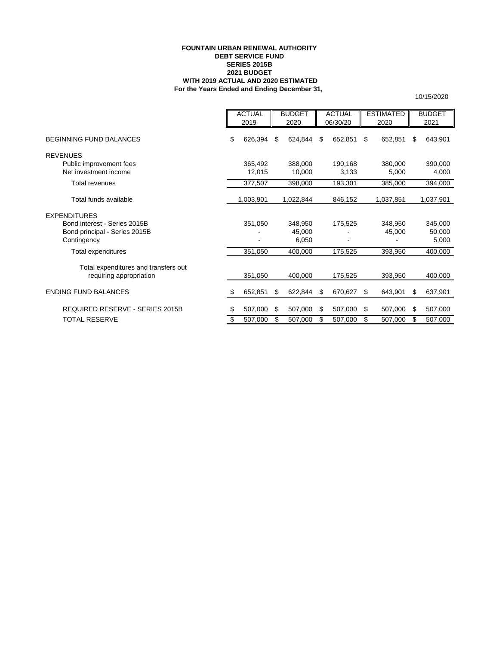### **FOUNTAIN URBAN RENEWAL AUTHORITY DEBT SERVICE FUND SERIES 2015B 2021 BUDGET WITH 2019 ACTUAL AND 2020 ESTIMATED For the Years Ended and Ending December 31,**

|                                      | <b>ACTUAL</b> |           | <b>BUDGET</b> |           | <b>ACTUAL</b> |          | <b>ESTIMATED</b> |           | <b>BUDGET</b> |           |
|--------------------------------------|---------------|-----------|---------------|-----------|---------------|----------|------------------|-----------|---------------|-----------|
|                                      |               | 2019      |               | 2020      |               | 06/30/20 |                  | 2020      |               | 2021      |
| <b>BEGINNING FUND BALANCES</b>       | \$            | 626,394   | \$            | 624,844   | \$            | 652,851  | \$               | 652,851   | S             | 643,901   |
| <b>REVENUES</b>                      |               |           |               |           |               |          |                  |           |               |           |
| Public improvement fees              |               | 365,492   |               | 388,000   |               | 190,168  |                  | 380,000   |               | 390,000   |
| Net investment income                |               | 12,015    |               | 10,000    |               | 3,133    |                  | 5,000     |               | 4,000     |
| Total revenues                       |               | 377,507   |               | 398,000   |               | 193,301  |                  | 385,000   |               | 394,000   |
| Total funds available                |               | 1,003,901 |               | 1,022,844 |               | 846,152  |                  | 1,037,851 |               | 1,037,901 |
| <b>EXPENDITURES</b>                  |               |           |               |           |               |          |                  |           |               |           |
| Bond interest - Series 2015B         |               | 351,050   |               | 348,950   |               | 175,525  |                  | 348,950   |               | 345,000   |
| Bond principal - Series 2015B        |               |           |               | 45.000    |               |          |                  | 45,000    |               | 50,000    |
| Contingency                          |               |           |               | 6,050     |               |          |                  |           |               | 5,000     |
| Total expenditures                   |               | 351,050   |               | 400,000   |               | 175,525  |                  | 393,950   |               | 400,000   |
| Total expenditures and transfers out |               |           |               |           |               |          |                  |           |               |           |
| requiring appropriation              |               | 351,050   |               | 400,000   |               | 175,525  |                  | 393,950   |               | 400,000   |
| <b>ENDING FUND BALANCES</b>          | S             | 652,851   | \$            | 622,844   | \$            | 670,627  | \$               | 643,901   | S             | 637,901   |
| REQUIRED RESERVE - SERIES 2015B      | \$            | 507,000   | \$            | 507,000   | \$            | 507,000  | \$               | 507,000   | \$            | 507,000   |
| <b>TOTAL RESERVE</b>                 | \$            | 507,000   | \$            | 507,000   | \$            | 507,000  | \$               | 507,000   | \$            | 507,000   |